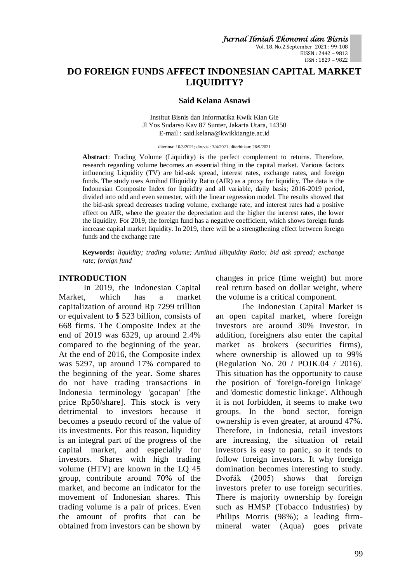Vol. 18. No.2,September 2021 : 99-108 EISSN : 2442 – 9813 ISSN : 1829 – 9822

# **DO FOREIGN FUNDS AFFECT INDONESIAN CAPITAL MARKET LIQUIDITY?**

#### **Said Kelana Asnawi**

Institut Bisnis dan Informatika Kwik Kian Gie Jl Yos Sudarso Kav 87 Sunter, Jakarta Utara, 14350 E-mail : said.kelana@kwikkiangie.ac.id

diterima: 10/3/2021; direvisi: 3/4/2021; diterbitkan: 26/9/2021

**Abstract**: Trading Volume (Liquidity) is the perfect complement to returns. Therefore, research regarding volume becomes an essential thing in the capital market. Various factors influencing Liquidity (TV) are bid-ask spread, interest rates, exchange rates, and foreign funds. The study uses Amihud Illiquidity Ratio (AIR) as a proxy for liquidity. The data is the Indonesian Composite Index for liquidity and all variable, daily basis; 2016-2019 period, divided into odd and even semester, with the linear regression model. The results showed that the bid-ask spread decreases trading volume, exchange rate, and interest rates had a positive effect on AIR, where the greater the depreciation and the higher the interest rates, the lower the liquidity. For 2019, the foreign fund has a negative coefficient, which shows foreign funds increase capital market liquidity. In 2019, there will be a strengthening effect between foreign funds and the exchange rate

**Keywords:** *liquidity; trading volume; Amihud Illiquidity Ratio; bid ask spread; exchange rate; foreign fund*

#### **INTRODUCTION**

In 2019, the Indonesian Capital Market, which has a market capitalization of around Rp 7299 trillion or equivalent to \$ 523 billion, consists of 668 firms. The Composite Index at the end of 2019 was 6329, up around 2.4% compared to the beginning of the year. At the end of 2016, the Composite index was 5297, up around 17% compared to the beginning of the year. Some shares do not have trading transactions in Indonesia terminology 'gocapan' [the price Rp50/share]. This stock is very detrimental to investors because it becomes a pseudo record of the value of its investments. For this reason, liquidity is an integral part of the progress of the capital market, and especially for investors. Shares with high trading volume (HTV) are known in the LQ 45 group, contribute around 70% of the market, and become an indicator for the movement of Indonesian shares. This trading volume is a pair of prices. Even the amount of profits that can be obtained from investors can be shown by changes in price (time weight) but more real return based on dollar weight, where the volume is a critical component.

The Indonesian Capital Market is an open capital market, where foreign investors are around 30% Investor. In addition, foreigners also enter the capital market as brokers (securities firms). where ownership is allowed up to 99% (Regulation No. 20 / POJK.04 / 2016). This situation has the opportunity to cause the position of 'foreign-foreign linkage' and 'domestic domestic linkage'. Although it is not forbidden, it seems to make two groups. In the bond sector, foreign ownership is even greater, at around 47%. Therefore, in Indonesia, retail investors are increasing, the situation of retail investors is easy to panic, so it tends to follow foreign investors. It why foreign domination becomes interesting to study. Dvořák (2005) shows that foreign investors prefer to use foreign securities. There is majority ownership by foreign such as HMSP (Tobacco Industries) by Philips Morris (98%); a leading firmmineral water (Aqua) goes private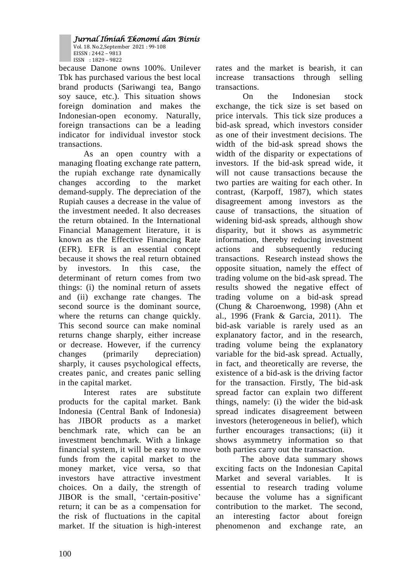Vol. 18. No.2,September 2021 : 99-108 EISSN : 2442 – 9813 ISSN : 1829 – 9822

because Danone owns 100%. Unilever Tbk has purchased various the best local brand products (Sariwangi tea, Bango soy sauce, etc.). This situation shows foreign domination and makes the Indonesian-open economy. Naturally, foreign transactions can be a leading indicator for individual investor stock transactions.

As an open country with a managing floating exchange rate pattern, the rupiah exchange rate dynamically changes according to the market demand-supply. The depreciation of the Rupiah causes a decrease in the value of the investment needed. It also decreases the return obtained. In the International Financial Management literature, it is known as the Effective Financing Rate (EFR). EFR is an essential concept because it shows the real return obtained by investors. In this case, the determinant of return comes from two things: (i) the nominal return of assets and (ii) exchange rate changes. The second source is the dominant source, where the returns can change quickly. This second source can make nominal returns change sharply, either increase or decrease. However, if the currency changes (primarily depreciation) sharply, it causes psychological effects, creates panic, and creates panic selling in the capital market.

Interest rates are substitute products for the capital market. Bank Indonesia (Central Bank of Indonesia) has JIBOR products as a market benchmark rate, which can be an investment benchmark. With a linkage financial system, it will be easy to move funds from the capital market to the money market, vice versa, so that investors have attractive investment choices. On a daily, the strength of JIBOR is the small, 'certain-positive' return; it can be as a compensation for the risk of fluctuations in the capital market. If the situation is high-interest rates and the market is bearish, it can increase transactions through selling transactions.

On the Indonesian stock exchange, the tick size is set based on price intervals. This tick size produces a bid-ask spread, which investors consider as one of their investment decisions. The width of the bid-ask spread shows the width of the disparity or expectations of investors. If the bid-ask spread wide, it will not cause transactions because the two parties are waiting for each other. In contrast, (Karpoff, 1987), which states disagreement among investors as the cause of transactions, the situation of widening bid-ask spreads, although show disparity, but it shows as asymmetric information, thereby reducing investment actions and subsequently reducing transactions. Research instead shows the opposite situation, namely the effect of trading volume on the bid-ask spread. The results showed the negative effect of trading volume on a bid-ask spread (Chung & Charoenwong, 1998) (Ahn et al., 1996 (Frank & Garcia, 2011). The bid-ask variable is rarely used as an explanatory factor, and in the research, trading volume being the explanatory variable for the bid-ask spread. Actually, in fact, and theoretically are reverse, the existence of a bid-ask is the driving factor for the transaction. Firstly, The bid-ask spread factor can explain two different things, namely: (i) the wider the bid-ask spread indicates disagreement between investors (heterogeneous in belief), which further encourages transactions; (ii) it shows asymmetry information so that both parties carry out the transaction.

The above data summary shows exciting facts on the Indonesian Capital Market and several variables. It is essential to research trading volume because the volume has a significant contribution to the market. The second, an interesting factor about foreign phenomenon and exchange rate, an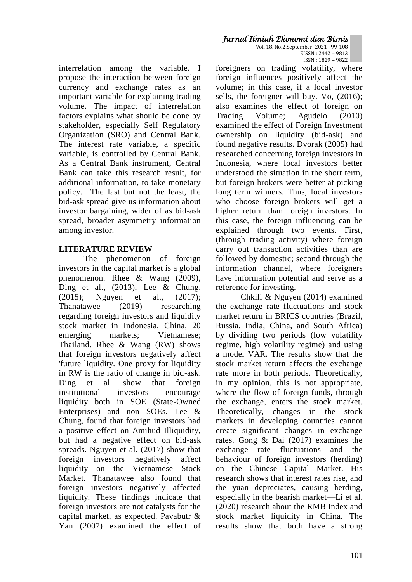interrelation among the variable. I propose the interaction between foreign currency and exchange rates as an important variable for explaining trading volume. The impact of interrelation factors explains what should be done by stakeholder, especially Self Regulatory Organization (SRO) and Central Bank. The interest rate variable, a specific variable, is controlled by Central Bank. As a Central Bank instrument, Central Bank can take this research result, for additional information, to take monetary policy. The last but not the least, the bid-ask spread give us information about investor bargaining, wider of as bid-ask spread, broader asymmetry information among investor.

# **LITERATURE REVIEW**

The phenomenon of foreign investors in the capital market is a global phenomenon. Rhee & Wang (2009), Ding et al.,  $(2013)$ , Lee & Chung, (2015); Nguyen et al., (2017); Thanatawee (2019) researching regarding foreign investors and liquidity stock market in Indonesia, China, 20 emerging markets; Vietnamese; Thailand. Rhee & Wang (RW) shows that foreign investors negatively affect 'future liquidity. One proxy for liquidity in RW is the ratio of change in bid-ask. Ding et al. show that foreign institutional investors encourage liquidity both in SOE (State-Owned Enterprises) and non SOEs. Lee & Chung, found that foreign investors had a positive effect on Amihud Illiquidity, but had a negative effect on bid-ask spreads. Nguyen et al. (2017) show that foreign investors negatively affect liquidity on the Vietnamese Stock Market. Thanatawee also found that foreign investors negatively affected liquidity. These findings indicate that foreign investors are not catalysts for the capital market, as expected. Pavabutr & Yan (2007) examined the effect of

ISSN : 1829 – 9822 foreigners on trading volatility, where foreign influences positively affect the volume; in this case, if a local investor sells, the foreigner will buy. Vo, (2016); also examines the effect of foreign on Trading Volume; Agudelo (2010) examined the effect of Foreign Investment ownership on liquidity (bid-ask) and found negative results. Dvorak (2005) had researched concerning foreign investors in Indonesia, where local investors better understood the situation in the short term, but foreign brokers were better at picking long term winners. Thus, local investors who choose foreign brokers will get a higher return than foreign investors. In this case, the foreign influencing can be explained through two events. First, (through trading activity) where foreign carry out transaction activities than are followed by domestic; second through the information channel, where foreigners have information potential and serve as a reference for investing.

Chkili & Nguyen (2014) examined the exchange rate fluctuations and stock market return in BRICS countries (Brazil, Russia, India, China, and South Africa) by dividing two periods (low volatility regime, high volatility regime) and using a model VAR. The results show that the stock market return affects the exchange rate more in both periods. Theoretically, in my opinion, this is not appropriate, where the flow of foreign funds, through the exchange, enters the stock market. Theoretically, changes in the stock markets in developing countries cannot create significant changes in exchange rates. Gong & Dai (2017) examines the exchange rate fluctuations and the behaviour of foreign investors (herding) on the Chinese Capital Market. His research shows that interest rates rise, and the yuan depreciates, causing herding, especially in the bearish market—Li et al. (2020) research about the RMB Index and stock market liquidity in China. The results show that both have a strong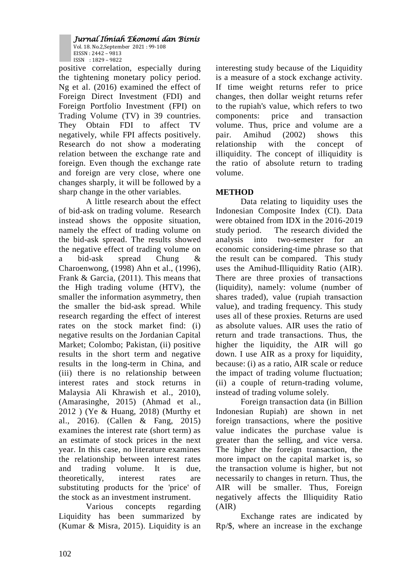Vol. 18. No.2,September 2021 : 99-108 EISSN : 2442 – 9813 ISSN : 1829 – 9822

positive correlation, especially during the tightening monetary policy period. Ng et al. (2016) examined the effect of Foreign Direct Investment (FDI) and Foreign Portfolio Investment (FPI) on Trading Volume (TV) in 39 countries. They Obtain FDI to affect TV negatively, while FPI affects positively. Research do not show a moderating relation between the exchange rate and foreign. Even though the exchange rate and foreign are very close, where one changes sharply, it will be followed by a sharp change in the other variables.

A little research about the effect of bid-ask on trading volume. Research instead shows the opposite situation, namely the effect of trading volume on the bid-ask spread. The results showed the negative effect of trading volume on a bid-ask spread Chung & Charoenwong, (1998) Ahn et al., (1996), Frank & Garcia, (2011). This means that the High trading volume (HTV), the smaller the information asymmetry, then the smaller the bid-ask spread. While research regarding the effect of interest rates on the stock market find: (i) negative results on the Jordanian Capital Market; Colombo; Pakistan, (ii) positive results in the short term and negative results in the long-term in China, and (iii) there is no relationship between interest rates and stock returns in Malaysia Ali Khrawish et al., 2010), (Amarasinghe, 2015) (Ahmad et al., 2012 ) (Ye & Huang, 2018) (Murthy et al., 2016). (Callen & Fang, 2015) examines the interest rate (short term) as an estimate of stock prices in the next year. In this case, no literature examines the relationship between interest rates and trading volume. It is due, theoretically, interest rates are substituting products for the 'price' of the stock as an investment instrument.

Various concepts regarding Liquidity has been summarized by (Kumar & Misra, 2015). Liquidity is an interesting study because of the Liquidity is a measure of a stock exchange activity. If time weight returns refer to price changes, then dollar weight returns refer to the rupiah's value, which refers to two components: price and transaction volume. Thus, price and volume are a pair. Amihud (2002) shows this relationship with the concept of illiquidity. The concept of illiquidity is the ratio of absolute return to trading volume.

# **METHOD**

Data relating to liquidity uses the Indonesian Composite Index (CI). Data were obtained from IDX in the 2016-2019 study period. The research divided the analysis into two-semester for an economic considering-time phrase so that the result can be compared. This study uses the Amihud-Illiquidity Ratio (AIR). There are three proxies of transactions (liquidity), namely: volume (number of shares traded), value (rupiah transaction value), and trading frequency. This study uses all of these proxies. Returns are used as absolute values. AIR uses the ratio of return and trade transactions. Thus, the higher the liquidity, the AIR will go down. I use AIR as a proxy for liquidity, because: (i) as a ratio, AIR scale or reduce the impact of trading volume fluctuation; (ii) a couple of return-trading volume, instead of trading volume solely.

Foreign transaction data (in Billion Indonesian Rupiah) are shown in net foreign transactions, where the positive value indicates the purchase value is greater than the selling, and vice versa. The higher the foreign transaction, the more impact on the capital market is, so the transaction volume is higher, but not necessarily to changes in return. Thus, the AIR will be smaller. Thus, Foreign negatively affects the Illiquidity Ratio (AIR)

Exchange rates are indicated by Rp/\$, where an increase in the exchange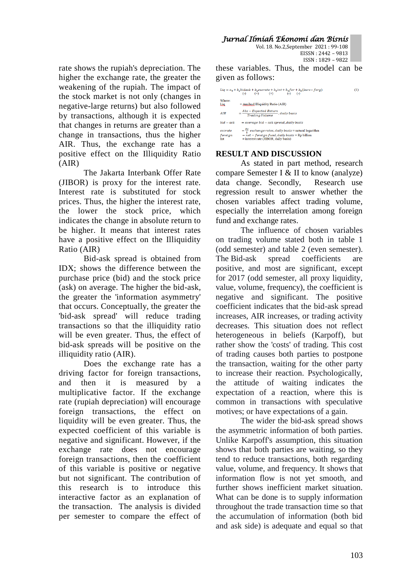Vol. 18. No.2,September 2021 : 99-108 EISSN : 2442 – 9813 ISSN : 1829 – 9822

rate shows the rupiah's depreciation. The higher the exchange rate, the greater the weakening of the rupiah. The impact of the stock market is not only (changes in negative-large returns) but also followed by transactions, although it is expected that changes in returns are greater than a change in transactions, thus the higher AIR. Thus, the exchange rate has a positive effect on the Illiquidity Ratio (AIR)

The Jakarta Interbank Offer Rate (JIBOR) is proxy for the interest rate. Interest rate is substituted for stock prices. Thus, the higher the interest rate, the lower the stock price, which indicates the change in absolute return to be higher. It means that interest rates have a positive effect on the Illiquidity Ratio (AIR)

Bid-ask spread is obtained from IDX; shows the difference between the purchase price (bid) and the stock price (ask) on average. The higher the bid-ask, the greater the 'information asymmetry' that occurs. Conceptually, the greater the 'bid-ask spread' will reduce trading transactions so that the illiquidity ratio will be even greater. Thus, the effect of bid-ask spreads will be positive on the illiquidity ratio (AIR).

Does the exchange rate has a driving factor for foreign transactions, and then it is measured by multiplicative factor. If the exchange rate (rupiah depreciation) will encourage foreign transactions, the effect on liquidity will be even greater. Thus, the expected coefficient of this variable is negative and significant. However, if the exchange rate does not encourage foreign transactions, then the coefficient of this variable is positive or negative but not significant. The contribution of this research is to introduce this interactive factor as an explanation of the transaction. The analysis is divided per semester to compare the effect of

these variables. Thus, the model can be given as follows:

|                           | $Liq = a_0 + b_1bidask + b_2excrate + b_2int + b_4for + b_5(kurs * forq)$<br>$( - )$ $( + )$ $( + )$ $( - )$ $( - )$                                          | (1) |
|---------------------------|---------------------------------------------------------------------------------------------------------------------------------------------------------------|-----|
| Where:<br>Liq             | $=$ Amihud Illiquidity Ratio (AIR)                                                                                                                            |     |
| AIR                       | $=\frac{Abs - Expected Return}{Trading Volume}, daily basis$                                                                                                  |     |
| $bid - ask$               | $= average bid - ask spread, daily basis$                                                                                                                     |     |
| excrate<br>foreign<br>Int | $=\frac{kp}{s}$ exchange rates, daily basis = natural logarithm<br>$= net - foreign fund, daily basis = Rp billion$<br>$=$ interest rate (JIBOR, daily basis) |     |

# **RESULT AND DISCUSSION**

As stated in part method, research compare Semester I & II to know (analyze) data change. Secondly, Research use regression result to answer whether the chosen variables affect trading volume, especially the interrelation among foreign fund and exchange rates.

The influence of chosen variables on trading volume stated both in table 1 (odd semester) and table 2 (even semester). The Bid-ask spread coefficients are positive, and most are significant, except for 2017 (odd semester, all proxy liquidity, value, volume, frequency), the coefficient is negative and significant. The positive coefficient indicates that the bid-ask spread increases, AIR increases, or trading activity decreases. This situation does not reflect heterogeneous in beliefs (Karpoff), but rather show the 'costs' of trading. This cost of trading causes both parties to postpone the transaction, waiting for the other party to increase their reaction. Psychologically, the attitude of waiting indicates the expectation of a reaction, where this is common in transactions with speculative motives; or have expectations of a gain.

The wider the bid-ask spread shows the asymmetric information of both parties. Unlike Karpoff's assumption, this situation shows that both parties are waiting, so they tend to reduce transactions, both regarding value, volume, and frequency. It shows that information flow is not yet smooth, and further shows inefficient market situation. What can be done is to supply information throughout the trade transaction time so that the accumulation of information (both bid and ask side) is adequate and equal so that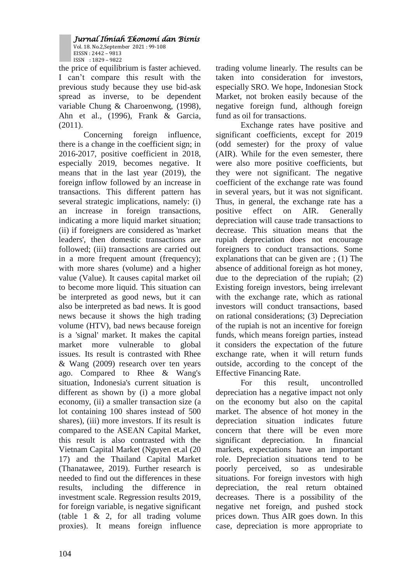Vol. 18. No.2,September 2021 : 99-108 EISSN : 2442 – 9813 ISSN : 1829 – 9822

the price of equilibrium is faster achieved. I can't compare this result with the previous study because they use bid-ask spread as inverse, to be dependent variable Chung & Charoenwong, (1998), Ahn et al., (1996), Frank & Garcia, (2011).

Concerning foreign influence, there is a change in the coefficient sign; in 2016-2017, positive coefficient in 2018, especially 2019, becomes negative. It means that in the last year (2019), the foreign inflow followed by an increase in transactions. This different pattern has several strategic implications, namely: (i) an increase in foreign transactions, indicating a more liquid market situation; (ii) if foreigners are considered as 'market leaders', then domestic transactions are followed; (iii) transactions are carried out in a more frequent amount (frequency); with more shares (volume) and a higher value (Value). It causes capital market oil to become more liquid. This situation can be interpreted as good news, but it can also be interpreted as bad news. It is good news because it shows the high trading volume (HTV), bad news because foreign is a 'signal' market. It makes the capital market more vulnerable to global issues. Its result is contrasted with Rhee & Wang (2009) research over ten years ago. Compared to Rhee & Wang's situation, Indonesia's current situation is different as shown by (i) a more global economy, (ii) a smaller transaction size (a lot containing 100 shares instead of 500 shares), (iii) more investors. If its result is compared to the ASEAN Capital Market, this result is also contrasted with the Vietnam Capital Market (Nguyen et.al (20 17) and the Thailand Capital Market (Thanatawee, 2019). Further research is needed to find out the differences in these results, including the difference in investment scale. Regression results 2019, for foreign variable, is negative significant (table 1 & 2, for all trading volume proxies). It means foreign influence

trading volume linearly. The results can be taken into consideration for investors, especially SRO. We hope, Indonesian Stock Market, not broken easily because of the negative foreign fund, although foreign fund as oil for transactions.

Exchange rates have positive and significant coefficients, except for 2019 (odd semester) for the proxy of value (AIR). While for the even semester, there were also more positive coefficients, but they were not significant. The negative coefficient of the exchange rate was found in several years, but it was not significant. Thus, in general, the exchange rate has a positive effect on AIR. Generally depreciation will cause trade transactions to decrease. This situation means that the rupiah depreciation does not encourage foreigners to conduct transactions. Some explanations that can be given are ; (1) The absence of additional foreign as hot money, due to the depreciation of the rupiah; (2) Existing foreign investors, being irrelevant with the exchange rate, which as rational investors will conduct transactions, based on rational considerations; (3) Depreciation of the rupiah is not an incentive for foreign funds, which means foreign parties, instead it considers the expectation of the future exchange rate, when it will return funds outside, according to the concept of the Effective Financing Rate.

For this result, uncontrolled depreciation has a negative impact not only on the economy but also on the capital market. The absence of hot money in the depreciation situation indicates future concern that there will be even more significant depreciation. In financial markets, expectations have an important role. Depreciation situations tend to be poorly perceived, so as undesirable situations. For foreign investors with high depreciation, the real return obtained decreases. There is a possibility of the negative net foreign, and pushed stock prices down. Thus AIR goes down. In this case, depreciation is more appropriate to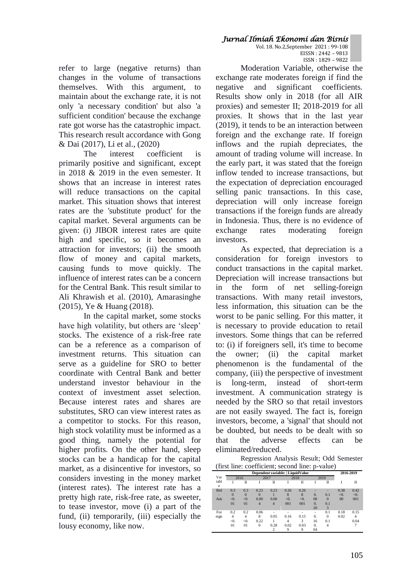refer to large (negative returns) than changes in the volume of transactions themselves. With this argument, to maintain about the exchange rate, it is not only 'a necessary condition' but also 'a sufficient condition' because the exchange rate got worse has the catastrophic impact. This research result accordance with Gong & Dai (2017), Li et al., (2020)

The interest coefficient is primarily positive and significant, except in 2018 & 2019 in the even semester. It shows that an increase in interest rates will reduce transactions on the capital market. This situation shows that interest rates are the 'substitute product' for the capital market. Several arguments can be given: (i) JIBOR interest rates are quite high and specific, so it becomes an attraction for investors; (ii) the smooth flow of money and capital markets, causing funds to move quickly. The influence of interest rates can be a concern for the Central Bank. This result similar to Ali Khrawish et al. (2010), Amarasinghe (2015), Ye & Huang (2018).

In the capital market, some stocks have high volatility, but others are 'sleep' stocks. The existence of a risk-free rate can be a reference as a comparison of investment returns. This situation can serve as a guideline for SRO to better coordinate with Central Bank and better understand investor behaviour in the context of investment asset selection. Because interest rates and shares are substitutes, SRO can view interest rates as a competitor to stocks. For this reason, high stock volatility must be informed as a good thing, namely the potential for higher profits. On the other hand, sleep stocks can be a handicap for the capital market, as a disincentive for investors, so considers investing in the money market (interest rates). The interest rate has a pretty high rate, risk-free rate, as sweeter, to tease investor, move (i) a part of the fund, (ii) temporarily, (iii) especially the lousy economy, like now.

Vol. 18. No.2,September 2021 : 99-108 EISSN : 2442 – 9813 ISSN : 1829 – 9822

Moderation Variable, otherwise the exchange rate moderates foreign if find the negative and significant coefficients. Results show only in 2018 (for all AIR proxies) and semester II; 2018-2019 for all proxies. It shows that in the last year (2019), it tends to be an interaction between foreign and the exchange rate. If foreign inflows and the rupiah depreciates, the amount of trading volume will increase. In the early part, it was stated that the foreign inflow tended to increase transactions, but the expectation of depreciation encouraged selling panic transactions. In this case, depreciation will only increase foreign transactions if the foreign funds are already in Indonesia. Thus, there is no evidence of exchange rates moderating foreign investors.

As expected, that depreciation is a consideration for foreign investors to conduct transactions in the capital market. Depreciation will increase transactions but in the form of net selling-foreign transactions. With many retail investors, less information, this situation can be the worst to be panic selling. For this matter, it is necessary to provide education to retail investors. Some things that can be referred to: (i) if foreigners sell, it's time to become the owner; (ii) the capital market phenomenon is the fundamental of the company, (iii) the perspective of investment is long-term, instead of short-term investment. A communication strategy is needed by the SRO so that retail investors are not easily swayed. The fact is, foreign investors, become, a 'signal' that should not be doubted, but needs to be dealt with so that the adverse effects can be eliminated/reduced.

Regression Analysis Result; Odd Semester (first line: coefficient; second line: p-value)

|            | Dependent variable:   LiquidValue |          |                |                |      |      |      |          |      | 2016-2019      |  |
|------------|-----------------------------------|----------|----------------|----------------|------|------|------|----------|------|----------------|--|
| Var        | 2016                              |          | 2017           |                | 2018 |      | 2019 |          |      |                |  |
| iabl<br>e  |                                   | π        |                | П              |      | Π    |      | П        |      | п              |  |
| <b>Bid</b> | 0.3                               | 0.3      | 0.23           | 0.23           | 0.26 | 0.26 |      | ۰        | 0.38 | 0.42           |  |
| -          | $\Omega$                          | $\Omega$ | $\mathbf{0}$   |                | 8    | 8    | 0.   | 0.1      | < 0. | < 0.           |  |
| Ask        | < 0.                              | < 0.     | 0.00           | 0.00           | < 0. | < 0. | 08   | $\Omega$ | 00   | 001            |  |
|            | 01                                | 01       | $\overline{4}$ | $\overline{4}$ | 001  | 001  | 0.   | 0.1      |      |                |  |
|            |                                   |          |                |                |      |      | 20   | 3        |      |                |  |
| For        | 0.2                               | 0.2      | 0.06           |                |      |      | ۰    | 0.1      | 0.18 | 0.15           |  |
| eign       | 4                                 | 4        | 8              | 0.05           | 0.16 | 0.15 | 0.   | $\Omega$ | 0.02 | $\overline{4}$ |  |
|            | < 0.                              | < 0.     | 0.22           |                | 4    | 3    | 16   | 0.1      |      | 0.04           |  |
|            | 01                                | 01       | $\overline{0}$ | 0.28           | 0.02 | 0.03 | 0.   | 4        |      |                |  |
|            |                                   |          |                | $\overline{c}$ | 9    | 9    | 04   |          |      |                |  |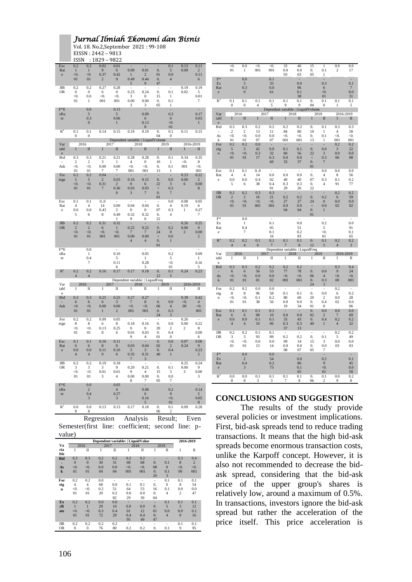Vol. 18. No.2,September 2021 : 99-108 EISSN : 2442 – 9813 ISSN : 1829 – 9822

| Exc<br>Rat<br>e         | 0.2<br>$\mathbf{1}$<br>< 0.<br>01 | 0.2<br>$\mathbf{1}$<br>< 0.<br>01   | 0.02<br>9<br>0.37<br>$\overline{c}$ | 0.01<br>6<br>0.42<br>9            | 0.00<br>$\,1$<br>0.49<br>$\sqrt{5}$ | 0.01<br>$\overline{2}$<br>0.44<br>9        | $\overline{0}$ .<br>01<br>$\mathbf{0}$<br>47 | 0.1<br>5<br>0.0<br>$\overline{\mathbf{4}}$       | 0.13<br>0.09   | 0.11<br>$\overline{2}$<br>0.11<br>6 |
|-------------------------|-----------------------------------|-------------------------------------|-------------------------------------|-----------------------------------|-------------------------------------|--------------------------------------------|----------------------------------------------|--------------------------------------------------|----------------|-------------------------------------|
| <b>JIB</b><br><b>OR</b> | 0.2<br>$\bf{0}$<br>⊲0.<br>01      | 0.2<br>$\boldsymbol{0}$<br>0.0<br>1 | 0.27<br>6<br>< 0.<br>001            | 0.28<br>$\bf{0}$<br>< 0.<br>001   | 0.23<br>3<br>0.00<br>3              | ÷.<br>0.24<br>$\bf{0}$<br>0.00<br>3        | $\mathbf{0}$ .<br>15<br>$\mathbf{0}$<br>05   | L,<br>0.1<br>$\mathbf{1}$<br>0.1<br>$\mathbf{1}$ | 0.19<br>0.02   | 0.19<br>5<br>0.01<br>7              |
| F*E<br>xRa<br>te        |                                   | 0.0<br>5<br>0.3<br>$\boldsymbol{0}$ |                                     | 0.13<br>5<br>0.06<br>$\mathbf{1}$ |                                     | 0.09<br>6<br>0.13<br>8                     |                                              | L<br>0.3<br>6<br>< 0.<br>01                      |                | 0.17<br>0.03<br>$\mathbf{1}$        |
| $R^2$                   | 0.1<br>$\boldsymbol{0}$           | 0.1<br>$\boldsymbol{0}$             | 0.14                                | 0.15                              | 0.19                                | 0.19                                       | $\overline{0}$ .<br>04                       | 0.1<br>$\boldsymbol{0}$                          | 0.11           | 0.15                                |
| Var                     |                                   | 2016                                | 2017                                |                                   |                                     | Dependent variable:   LiquidVolume<br>2018 |                                              | 2019                                             | 2016-2019      |                                     |
| iabl<br>$\rm e$         | I                                 | $\mathbf{I}$                        | I                                   | $\mathbf{I}$                      | I                                   | $\mathbf{I}$                               | I                                            | $\overline{\mathbf{u}}$                          | I              | $\mathbf{I}$                        |
| Bid<br>٠                | 0.3<br>$\mathfrak{2}$             | 0.3<br>$\mathbf{2}$                 | 0.21<br>3                           | 0.21<br>$1\,$                     | 0.28<br>$\overline{4}$              | 0.28<br>$\bf{0}$                           | 0.<br>10                                     | 0.1<br>$\mathbf{1}$                              | 0.34<br>< 0.   | 0.35<br>8                           |
| Ask                     | $\leq 0$ .                        | < 0.                                | 0.00                                | 0.00                              | < 0.                                | $\leq 0$ .                                 | $\boldsymbol{0}$ .                           | 0.1                                              | 001            | < 0.                                |
| For                     | 01<br>0.2                         | 01<br>0.2                           | $\overline{7}$<br>0.04              | 7<br>L,                           | 001                                 | 001                                        | 13                                           | $\mathbf{1}$<br>L.                               | 0.23           | 001<br>0.22                         |
| eign                    | 5<br>$<0$ .                       | 5<br>< 0.                           | $\overline{2}$<br>0.31              | 0.03<br>$\overline{2}$            | 0.16<br>$\mathbf{0}$                | 0.15<br>6                                  | $\overline{0}$ .<br>22                       | 0.0<br>3                                         | 0.00<br>6      | $\overline{2}$<br>0.00              |
|                         | 01                                | 01                                  | 7                                   | 0.36                              | 0.03<br>3                           | 0.03<br>7                                  | $\,<$<br>$\overline{0}$ .                    | 0.3                                              |                | $\bf 8$                             |
|                         |                                   |                                     |                                     | $\bf{0}$                          |                                     |                                            | 01                                           | 7                                                |                |                                     |
| Exc<br>Rat              | 0.1<br>$\overline{4}$             | 0.1<br>$\overline{4}$               | 0.0<br>14                           | 0.00                              | 0.04                                | 0.04                                       | $\overline{0}$ .                             | 0.0<br>$\overline{4}$                            | 0.08<br>0.19   | 0.05<br>6                           |
| $\rm e$                 | 0.0<br>5                          | 0.0<br>6                            | 0.43<br>8                           | 2<br>0.49                         | $\bf{0}$<br>0.32                    | $\bf{0}$<br>0.32                           | 07<br>$\boldsymbol{0}$ .                     | 0.3<br>$\overline{4}$                            | $\mathbf{1}$   | 0.27<br>7                           |
|                         |                                   |                                     |                                     | $\mathbf{1}$                      | 9<br>Ç.                             | 6                                          | 22                                           |                                                  |                |                                     |
| JIB<br><b>OR</b>        | 0.2<br>$\sqrt{2}$                 | 0.2<br>$\sqrt{2}$                   | 0.31<br>6                           | 0.32<br>$\mathbf{1}$              | 0.22                                | 0.22                                       | $\boldsymbol{0}$ .                           | L.<br>0.2                                        | 0.26<br>0.00   | 0.25<br>$\boldsymbol{9}$            |
|                         | $<0$ .<br>01                      | $<0$ .<br>01                        | <0.<br>001                          | <0.<br>001                        | $\overline{7}$<br>0.00              | $\overline{7}$<br>0.00                     | 24<br>$\dot{<}$                              | $\mathbf{0}$<br>0.0                              | $\overline{2}$ | 0.00<br>$\overline{c}$              |
|                         |                                   |                                     |                                     |                                   | $\overline{4}$                      | $\overline{4}$                             | 0.<br>01                                     | $\,1$                                            |                |                                     |
| F*E<br>xRa              |                                   | $\overline{0.0}$<br>$\mathbf{1}$    |                                     | $\sim$<br>0.10                    |                                     | $\sim$<br>0.05                             |                                              | ÷.<br>0.2                                        |                | $\sim$<br>0.09                      |
| te                      |                                   | 0.4                                 |                                     | 5                                 |                                     | $\mathbf{1}$                               |                                              | 5                                                |                | $\mathbf{1}$                        |
|                         |                                   | 7                                   |                                     | 0.11<br>6                         |                                     | 0.28<br>3                                  |                                              | < 0.<br>01                                       |                | 0.16<br>5                           |
| $R^2$                   | 0.2<br>4                          | 0.2<br>$\overline{4}$               | 0.16                                | 0.17                              | 0.17                                | 0.18                                       | 0.<br>12                                     | 0.1<br>5                                         | 0.24           | 0.23                                |
| Var                     |                                   | 2016                                |                                     | 2017                              |                                     | Dependent variable:   LiquidFreq<br>2018   |                                              | 2019                                             | 2016-2019      |                                     |
| iabl<br>$\mathbf{e}$    | I                                 | Π                                   | Ī                                   | $\mathbf{I}$                      | Ī                                   | Π                                          | I                                            | $\mathbf{I}$                                     | I              | $\mathbf{I}$                        |
| Bid                     | 0.3<br>6                          | 0.3                                 | 0.25                                | 0.25                              | 0.27<br>$\overline{7}$              | 0.27                                       | ÷.<br>$\overline{0}$ .                       | ÷.<br>0.0                                        | 0.39           | 0.42<br>$\overline{4}$              |
| Ask                     | < 0.                              | 6<br>< 0.                           | 6<br>0.00                           | 3<br>0.00                         | < 0.                                | 8<br>$<0$ .                                | 06                                           | $\overline{4}$                                   | < 0.<br>00     | < 0.                                |
|                         | 01                                | 01                                  | $\mathbf{1}$                        | $\overline{c}$                    | 001                                 | 001                                        | $\boldsymbol{0}$ .<br>24                     | 0.3<br>$\mathbf{3}$                              |                | 001                                 |
| For<br>eign             | 0.2<br>8                          | 0.2<br>8                            | 0.09<br>6                           | 0.05<br>8                         | ÷.<br>0.18                          | ÷<br>0.16                                  | 0.                                           | ÷.<br>0.0                                        | 0.26<br>0.00   | ÷<br>0.22                           |
|                         | $<0$ .                            | < 0.                                | 0.13                                | 0.25                              | $\boldsymbol{0}$                    | $\boldsymbol{0}$                           | 20                                           | $\overline{2}$                                   | $\overline{c}$ | 8                                   |
|                         | 01                                | 01                                  | 8                                   | 6                                 | 0.01<br>9                           | 0.03<br>$\overline{4}$                     | 0.<br>01                                     | 0.4<br>$\Omega$                                  |                | 0.00<br>6                           |
| Exc<br>Rat              | 0.1<br>6                          | 0.1<br>6                            | 0.10<br>$\,$ 8 $\,$                 | 0.11<br>$\bf{0}$                  | $\Box$<br>0.03                      | ÷.<br>0.04                                 | $\mathbf{0}$ .<br>02                         | 0.0<br>$\sqrt{2}$                                | 0.07<br>0.24   | 0.06<br>9                           |
| e                       | 0.0                               | 0.0                                 | 0.11                                | 0.10                              | $\mathbf{3}$                        | 3                                          | 0.                                           | 0.4                                              |                | 0.23                                |
|                         | $\overline{4}$                    | $\overline{4}$                      | $\boldsymbol{0}$                    | 6                                 | 0.35<br>$\boldsymbol{7}$            | 0.31<br>$\mathfrak{Z}$                     | 40                                           | $\mathbf{1}$                                     |                | $\sqrt{2}$                          |
| JIB<br>OR               | 0.2<br>3                          | 0.2<br>3                            | 0.19<br>3                           | 0.18<br>9                         | 0.20                                | 0.21                                       | $\overline{\phantom{a}}$<br>0.               | $\overline{\phantom{a}}$<br>0.1                  | 0.25<br>0.00   | 0.24<br>9                           |
|                         | <0.<br>01                         | < 0.<br>01                          | 0.01<br>3                           | 0.01<br>$\overline{4}$            | 9<br>0.00                           | $\overline{4}$<br>0.00                     | 15<br>$\mathbf{0}$ .                         | 3<br>0.0                                         | 3              | 0.00<br>3                           |
|                         |                                   |                                     |                                     |                                   | 8                                   | 7                                          | 05                                           | 7                                                |                |                                     |
| $F*E$<br>xRa            |                                   | 0.0<br>$\overline{c}$               |                                     | 0.05<br>$\overline{4}$            |                                     | 0.08                                       |                                              | 0.2                                              |                | 0.14                                |
| te                      |                                   | 0.4<br>3                            |                                     | 0.27<br>3                         |                                     | 6<br>0.16                                  |                                              | 9<br>$<0$ .                                      |                | $\overline{5}$<br>0.05              |
|                         |                                   |                                     |                                     |                                   |                                     | $\overline{5}$                             |                                              | 01                                               |                | $\,$ 8 $\,$                         |
| $R^2$                   | 0.0<br>8                          | 0.0<br>8                            | 0.13                                | 0.13                              | 0.17                                | 0.18                                       | 0.<br>06                                     | $_{0.1}$<br>$\overline{c}$                       | 0.09           | 0.28                                |

Regression Analysis Result; Even Semester(first line: coefficient; second line: pvalue)

|                                                       |                               | Dependent variable:   Liquid Value |                                  |                |  |  |  |  |  |  |
|-------------------------------------------------------|-------------------------------|------------------------------------|----------------------------------|----------------|--|--|--|--|--|--|
| Va<br>2016<br>2017                                    | 2018                          | 2019                               |                                  |                |  |  |  |  |  |  |
| ria<br>$_{\rm II}$<br>T<br>I<br>П                     | $_{\rm II}$<br>I              | I                                  | I<br>П                           | П              |  |  |  |  |  |  |
| ble                                                   |                               |                                    |                                  |                |  |  |  |  |  |  |
| 0.3<br>0.3<br>0.2<br>0.2<br><b>Bid</b>                | 0.2<br>0.2                    |                                    | 0.3                              | 0.4            |  |  |  |  |  |  |
| $\Omega$<br>$\Omega$<br>30<br>31<br>۰                 | 68<br>68                      | $\overline{0}$ .                   | 8<br>0.1                         | $\overline{2}$ |  |  |  |  |  |  |
| < 0.<br>< 0.<br>0.0<br>0.0<br>As                      | < 0.<br>< 0.                  | 08                                 | $\overline{0}$<br>< 0.           | < 0.           |  |  |  |  |  |  |
| 01<br>01<br>04<br>04<br>$\bf k$                       | 001<br>001                    | $\overline{0}$ .                   | 00<br>0.1                        | 001            |  |  |  |  |  |  |
|                                                       |                               | 20                                 | 3                                |                |  |  |  |  |  |  |
| 0.2<br>For<br>0.2<br>0.0                              | ٠                             | ÷.                                 | 0.1<br>0.1                       | 0.1            |  |  |  |  |  |  |
| 4<br>$\overline{4}$<br>68<br>0.0<br>eig               | 0.1<br>0.1                    | 0.                                 | $\mathbf{0}$<br>8                | 54             |  |  |  |  |  |  |
| < 0.<br>0.2<br>51<br>< 0.<br>$\mathbf n$              | 64<br>53                      | 16                                 | 0.1<br>0.0                       | 0.0            |  |  |  |  |  |  |
| 01<br>20<br>01<br>0.2                                 | 0.0<br>0.0                    | 0.                                 | $\overline{c}$<br>$\overline{4}$ | 47             |  |  |  |  |  |  |
| 82                                                    | 29<br>39                      | 04                                 |                                  |                |  |  |  |  |  |  |
| 0.2<br>0.0<br>0.0<br>Ex<br>0.2                        | ٠<br>٠                        | ٠                                  | 0.1<br>0.1                       | 0.1            |  |  |  |  |  |  |
| 29<br>1<br>1<br>16<br>cR                              | 0.0<br>0.0                    | $\overline{0}$ .                   | 5<br>3                           | 12             |  |  |  |  |  |  |
| 0.3<br>< 0.<br>< 0.<br>0.4<br>ate                     | 01<br>12                      | 01                                 | 0.0<br>0.0                       | 0.1            |  |  |  |  |  |  |
| 01<br>72<br>29<br>01                                  | 0.4<br>0.4                    | $\overline{0}$ .                   | $\overline{4}$<br>9              | 16             |  |  |  |  |  |  |
|                                                       | 95<br>49                      | 47                                 |                                  |                |  |  |  |  |  |  |
| 0.2<br>0.2<br>JIB<br>0.2<br>0.2                       | ٠<br>$\overline{\phantom{m}}$ | ÷,                                 | 0.1<br>٠                         | 0.1            |  |  |  |  |  |  |
| <b>OR</b><br>$\mathbf{0}$<br>$\mathbf{0}$<br>76<br>80 | 0.2<br>0.2                    | 0.                                 | 9<br>0.1                         | 95             |  |  |  |  |  |  |

|             | $\leq 0$ .      | 0.0            | $< 0$ .        | < 0.                    | 33                                 | 40                       | 15                       | $\mathbf{1}$          | 0.0             | 0.0             |
|-------------|-----------------|----------------|----------------|-------------------------|------------------------------------|--------------------------|--------------------------|-----------------------|-----------------|-----------------|
|             | 01              | 1              | 001            | 001                     | 0.0                                | 0.0                      | 0.                       | 0.1                   | 2               | 17              |
|             |                 |                |                |                         | 03                                 | 03                       | 05                       | $\,1\,$               |                 |                 |
| $F^*$       |                 | 0.0            |                |                         |                                    |                          |                          |                       |                 |                 |
|             |                 |                |                | 0.1                     |                                    | ä,                       |                          | ÷,                    |                 |                 |
| Ex          |                 | 5              |                | 35                      |                                    | 0.0                      |                          | 0.3                   |                 | 0.1             |
| Rat         |                 | 0.3            |                | 0.0                     |                                    | 96                       |                          | 6                     |                 | $7\phantom{.0}$ |
| $\rm e$     |                 | $\bf{0}$       |                | 61                      |                                    | 0.1                      |                          | < 0.                  |                 | 0.0             |
|             |                 |                |                |                         |                                    | 38                       |                          | 01                    |                 | 31              |
| $R^2$       | 0.1             | 0.1            | 0.1            | 0.1                     | 0.1                                | $\overline{0.1}$         | 0.                       | 0.1                   | 0.1             | 0.1             |
|             | $\mathbf{0}$    | $\theta$       | $\overline{4}$ | 5                       | 9                                  | 9                        | 04                       | $\theta$              | $\mathbf{1}$    | 5               |
|             |                 |                |                |                         |                                    |                          |                          |                       |                 |                 |
|             |                 |                |                |                         | Dependent variable:   LiquidVolume |                          |                          |                       |                 |                 |
| Var         |                 | 2016           |                | 2017                    |                                    | 2018                     |                          | 2019                  | 2016-2019       |                 |
| iabl        | I               | $\mathbf I$    | I              | $\overline{\mathbf{u}}$ | I                                  | $\mathbf{I}$             | I                        | $\mathbf{I}$          | I               | $\mathbf{I}$    |
| $\rm e$     |                 |                |                |                         |                                    |                          |                          |                       |                 |                 |
| Bid         | 0.3             | 0.3            | 0.2            | 0.2                     | 0.2                                | 0.2                      | 0.                       | 0.1                   | 0.3             | 0.3             |
| $\sim$      | $\sqrt{2}$      | $\,2$          | 13             | 11                      | 84                                 | 80                       | 10                       | 1                     | $\overline{4}$  | 58              |
| As          | < 0.            | < 0.           | 0.0            | 0.0                     | < 0.                               | $< 0$ .                  | 0.                       | 0.1                   | $< 0$ .         | < 0.            |
|             |                 |                |                |                         |                                    |                          |                          | 1                     |                 |                 |
| k           | 01              | 01             | 07             | 07                      | 001                                | 001                      | 13                       |                       | 001             | 001             |
| For         | 0.2             | 0.2            | 0.0            | $\sim$                  | $\sim$                             | $\sim$                   | $\overline{\phantom{a}}$ | $\omega$              | 0.2             | 0.2             |
| eig         | $5\overline{)}$ | 5              | 42             | 0.0                     | 0.1                                | 0.1                      | $\overline{0}$ .         | 0.0                   | $\mathbf{3}$    | 22              |
| $\bf n$     | $<0$ .          | $<0$ .         | 0.3            | 32                      | 60                                 | 56                       | 22                       | $\mathbf{3}$          | 0.0             | 0.0             |
|             | 01              | 01             | 17             | 0.3                     | 0.0                                | 0.0                      | $\,<$                    | 0.3                   | 06              | 08              |
|             |                 |                |                | 60                      | 33                                 | 37                       | $\overline{0}$ .         | $\overline{7}$        |                 |                 |
|             |                 |                |                |                         |                                    |                          | 01                       |                       |                 |                 |
| Exc         | 0.1             | 0.1            | 0.0            | $\sim$                  | $\sim$                             | $\sim$                   | $\overline{\phantom{a}}$ | 0.0                   | 0.0             | 0.0             |
|             |                 |                |                |                         |                                    |                          |                          |                       |                 |                 |
| Rat         | $\overline{4}$  | $\overline{4}$ | 14             | 0.0                     | 0.0                                | $0.0\,$                  | $\mathbf{0}$ .           | $\overline{4}$        | 8               | 56              |
| $\rm e$     | 0.0             | 0.0            | 0.4            | 02                      | 40                                 | 40                       | 07                       | 0.3                   | 0.1             | 0.2             |
|             | 5               | 6              | 38             | 0.4                     | 0.3                                | 0.3                      | $\boldsymbol{0}$ .       | $\overline{4}$        | 91              | 77              |
|             |                 |                |                | 91                      | 29                                 | 26                       | 22                       |                       |                 |                 |
| <b>JIB</b>  | 0.2             | 0.2            | 0.3            | 0.3                     | $\sim$                             | $\omega$                 | ÷,                       |                       | 0.2             | 0.2             |
| <b>OR</b>   | $\overline{2}$  | $\overline{2}$ | 16             | 21                      | 0.2                                | 0.2                      | $\overline{0}$ .         | 0.2                   | 6               | 59              |
|             | < 0.            | < 0.           | < 0.           | < 0.                    | 27                                 | 27                       | 24                       | $\mathbf{0}$          | 0.0             | 0.0             |
|             |                 |                |                |                         |                                    |                          |                          |                       |                 |                 |
|             | 01              | 01             | 001            | 001                     | 0.0                                | 0.0                      | $\,<$                    | 0.0                   | 02              | 02              |
|             |                 |                |                |                         | 04                                 | 04                       | 0.                       | $\mathbf{1}$          |                 |                 |
|             |                 |                |                |                         |                                    |                          | 01                       |                       |                 |                 |
| F*          |                 | 0.0            |                |                         |                                    |                          |                          |                       |                 |                 |
| Ex          |                 | $\mathbf{1}$   |                | 0.1                     |                                    | 0.0                      |                          | 0.2                   |                 | 0.0             |
| Rat         |                 | 0.4            |                | 05                      |                                    | 51                       |                          | $\sqrt{5}$            |                 | 91              |
| e           |                 | 7              |                | 0.1                     |                                    | 0.2                      |                          | <0.                   |                 | 0.1             |
|             |                 |                |                | 16                      |                                    | 83                       |                          | 01                    |                 | 65              |
|             |                 |                |                |                         |                                    |                          |                          |                       |                 |                 |
| $R^2$       | 0.2             | 0.2            | 0.1            | 0.1                     | 0.1                                | 0.1                      | $\overline{0}$ .         | 0.1                   | 0.2             | 0.2             |
|             | $\overline{4}$  | $\overline{4}$ | 6              | $\boldsymbol{7}$        | $\overline{7}$                     | $\,$ 8 $\,$              | 12                       | 5                     | $\overline{4}$  | 3               |
|             |                 |                |                |                         | Dependent variable:   LiquidFreq   |                          |                          |                       |                 |                 |
| Var         |                 | 2016           |                | 2017                    |                                    | 2018                     |                          | 2019                  | 2016-2019       |                 |
| iabl        | T               | $\mathbf{I}$   | I              | $\mathbf{I}$            | I                                  | $\mathbf{I}$             | I                        | $\mathbf{I}$          | I               | $\mathbf{I}$    |
| $\rm e$     |                 |                |                |                         |                                    |                          |                          |                       |                 |                 |
| Bid         | 0.3             | 0.3            | 0.2            | 0.2                     | 0.2                                | 0.2                      | $\blacksquare$           |                       | 0.3             | 0.4             |
|             | 6               | 6              | 56             | 53                      | 77                                 | 78                       | $\overline{0}$ .         | 0.0                   | 9               | 24              |
|             |                 |                | 0.0            |                         |                                    |                          |                          |                       |                 |                 |
| As          | < 0.            | < 0.           |                |                         |                                    |                          |                          |                       |                 |                 |
| $\bf k$     |                 |                |                | 0.0                     | < 0.                               | < 0.                     | 06                       | $\overline{4}$        | $<0$ .          | < 0.            |
|             | 01              | 01             | 01             | 02                      | 001                                | 001                      | $0. \,$                  | 0.3                   | $00\,$          | 001             |
|             |                 |                |                |                         |                                    |                          | 24                       | $\overline{3}$        |                 |                 |
| For         | 0.2             | 0.2            | 0.0            | 0.0                     | $\overline{\phantom{a}}$           | $\overline{\phantom{a}}$ | $\overline{\phantom{a}}$ | ÷.                    | 0.2             | $\sim$          |
|             | 8               |                | 96             |                         | 0.1                                |                          | 0.                       | 0.0                   |                 | 0.2             |
| eig         |                 | 8              |                | 58                      |                                    | 0.1                      |                          |                       | 6               |                 |
| $\mathbf n$ | < 0.            | < 0.           | 0.1            | 0.2                     | 80                                 | 60                       | 20                       | $\overline{2}$        | 0.0             | 28              |
|             | 01              | 01             | 38             | 56                      | 0.0                                | 0.0                      | 0.                       | 0.4                   | 02              | 0.0             |
|             |                 |                |                |                         | 19                                 | 34                       | 01                       | $\mathbf{0}$          |                 | 06              |
| Exc         | 0.1             | 0.1            | 0.1            | 0.1                     | $\omega$                           | $\omega$                 | $\overline{0}$ .         | 0.0                   | 0.0             | 0.0             |
| Rat         | 6               | 6              | 08             | 10                      | 0.0                                | 0.0                      | 02                       | $\overline{2}$        | $7\phantom{.0}$ | 69              |
| e.          | 0.0             | 0.0            | 0.1            | 0.1                     | 33                                 | 43                       | $\overline{0}$ .         | 0.4                   | 0.2             | 0.2             |
|             |                 |                |                |                         |                                    |                          |                          | $\mathbf{1}$          |                 |                 |
|             | $\overline{4}$  | $\overline{4}$ | 10             | 06                      | 0.3                                | 0.3                      | 40                       |                       | $\overline{4}$  | 32              |
|             |                 |                |                |                         | 57                                 | 13                       |                          |                       |                 |                 |
| JIB         | 0.2             | 0.2            | 0.1            | 0.1                     | $\sim$                             | $\sim$                   | $\sim$                   | $\sim$                | 0.2             | 0.2             |
| <b>OR</b>   | 3               | 3              | 93             | 89                      | 0.2                                | 0.2                      | 0.                       | 0.1                   | 5               | 49              |
|             | $<0$ .          | < 0.           | 0.0            | 0.0                     | 09                                 | 14                       | 15                       | 3                     | 0.0             | 0.0             |
|             | 01              | 01             | 13             | 14                      | 0.0                                | 0.0                      | 0.                       | 0.0                   | 03              | 03              |
|             |                 |                |                |                         | 08                                 | 07                       | 05                       | $\tau$                |                 |                 |
| $F^*$       |                 |                |                |                         |                                    | $\sim$                   |                          |                       |                 |                 |
|             |                 | 0.0            |                | 0.0                     |                                    |                          |                          | p                     |                 |                 |
| Ex          |                 | $\overline{c}$ |                | 54                      |                                    | 0.0                      |                          | 0.2                   |                 | 0.1             |
| Rat         |                 | 0.4            |                | 0.2                     |                                    | 86                       |                          | 9                     |                 | 45              |
| $\rm e$     |                 | $\sqrt{3}$     |                | 73                      |                                    | 0.1                      |                          | $<0$ .                |                 | 0.0             |
|             |                 |                |                |                         |                                    | 65                       |                          | 01                    |                 | 58              |
| $R^2$       | 0.0<br>8        | 0.0<br>8       | 0.1<br>3       | 0.1<br>3                | 0.1<br>7                           | 0.1<br>8                 | $\overline{0}$ .<br>06   | 0.1<br>$\overline{c}$ | 0.0<br>9        | 0.2<br>8        |

### **CONCLUSIONS AND SUGGESTION**

The results of the study provide several policies or investment implications. First, bid-ask spreads tend to reduce trading transactions. It means that the high bid-ask spreads become enormous transaction costs, unlike the Karpoff concept. However, it is also not recommended to decrease the bidask spread, considering that the bid-ask price of the upper group's shares is relatively low, around a maximum of 0.5%. In transactions, investors ignore the bid-ask spread but rather the acceleration of the price itself. This price acceleration is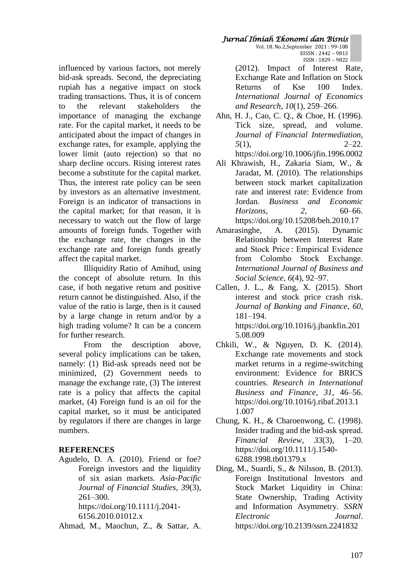### influenced by various factors, not merely bid-ask spreads. Second, the depreciating rupiah has a negative impact on stock trading transactions. Thus, it is of concern to the relevant stakeholders the importance of managing the exchange rate. For the capital market, it needs to be anticipated about the impact of changes in exchange rates, for example, applying the lower limit (auto rejection) so that no sharp decline occurs. Rising interest rates become a substitute for the capital market. Thus, the interest rate policy can be seen by investors as an alternative investment. Foreign is an indicator of transactions in the capital market; for that reason, it is necessary to watch out the flow of large amounts of foreign funds. Together with the exchange rate, the changes in the exchange rate and foreign funds greatly affect the capital market.

Illiquidity Ratio of Amihud, using the concept of absolute return. In this case, if both negative return and positive return cannot be distinguished. Also, if the value of the ratio is large, then is it caused by a large change in return and/or by a high trading volume? It can be a concern for further research.

From the description above, several policy implications can be taken, namely: (1) Bid-ask spreads need not be minimized, (2) Government needs to manage the exchange rate, (3) The interest rate is a policy that affects the capital market, (4) Foreign fund is an oil for the capital market, so it must be anticipated by regulators if there are changes in large numbers.

# **REFERENCES**

Agudelo, D. A. (2010). Friend or foe? Foreign investors and the liquidity of six asian markets. *Asia-Pacific Journal of Financial Studies*, *39*(3), 261–300. https://doi.org/10.1111/j.2041-

6156.2010.01012.x

Ahmad, M., Maochun, Z., & Sattar, A.

#### *Jurnal Ilmiah Ekonomi dan Bisnis*  Vol. 18. No.2,September 2021 : 99-108 EISSN : 2442 – 9813 ISSN : 1829 – 9822

(2012). Impact of Interest Rate, Exchange Rate and Inflation on Stock Returns of Kse 100 Index. *International Journal of Economics and Research*, *10*(1), 259–266.

- Ahn, H. J., Cao, C. Q., & Choe, H. (1996). Tick size, spread, and volume. *Journal of Financial Intermediation*, *5*(1), 2–22. https://doi.org/10.1006/jfin.1996.0002
- Ali Khrawish, H., Zakaria Siam, W., & Jaradat, M. (2010). The relationships between stock market capitalization rate and interest rate: Evidence from Jordan. *Business and Economic Horizons*, *2*, 60–66. https://doi.org/10.15208/beh.2010.17
- Amarasinghe, A. (2015). Dynamic Relationship between Interest Rate and Stock Price : Empirical Evidence from Colombo Stock Exchange. *International Journal of Business and Social Science*, *6*(4), 92–97.
- Callen, J. L., & Fang, X. (2015). Short interest and stock price crash risk. *Journal of Banking and Finance*, *60*, 181–194. https://doi.org/10.1016/j.jbankfin.201 5.08.009
- Chkili, W., & Nguyen, D. K. (2014). Exchange rate movements and stock market returns in a regime-switching environment: Evidence for BRICS countries. *Research in International Business and Finance*, *31*, 46–56. https://doi.org/10.1016/j.ribaf.2013.1 1.007
- Chung, K. H., & Charoenwong, C. (1998). Insider trading and the bid-ask spread. *Financial Review*, *33*(3), 1–20. https://doi.org/10.1111/j.1540- 6288.1998.tb01379.x
- Ding, M., Suardi, S., & Nilsson, B. (2013). Foreign Institutional Investors and Stock Market Liquidity in China: State Ownership, Trading Activity and Information Asymmetry. *SSRN Electronic Journal*. https://doi.org/10.2139/ssrn.2241832